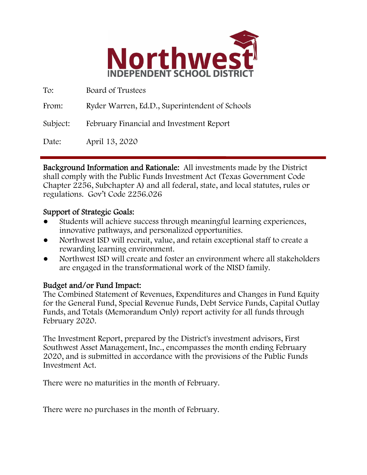

| To:      | Board of Trustees                              |
|----------|------------------------------------------------|
| From:    | Ryder Warren, Ed.D., Superintendent of Schools |
| Subject: | February Financial and Investment Report       |
| Date:    | April 13, 2020                                 |

Background Information and Rationale: All investments made by the District shall comply with the Public Funds Investment Act (Texas Government Code Chapter 2256, Subchapter A) and all federal, state, and local statutes, rules or regulations. Gov't Code 2256.026

### Support of Strategic Goals:

- Students will achieve success through meaningful learning experiences, innovative pathways, and personalized opportunities.
- Northwest ISD will recruit, value, and retain exceptional staff to create a rewarding learning environment.
- Northwest ISD will create and foster an environment where all stakeholders are engaged in the transformational work of the NISD family.

### Budget and/or Fund Impact:

The Combined Statement of Revenues, Expenditures and Changes in Fund Equity for the General Fund, Special Revenue Funds, Debt Service Funds, Capital Outlay Funds, and Totals (Memorandum Only) report activity for all funds through February 2020.

The Investment Report, prepared by the District's investment advisors, First Southwest Asset Management, Inc., encompasses the month ending February 2020, and is submitted in accordance with the provisions of the Public Funds Investment Act.

There were no maturities in the month of February.

There were no purchases in the month of February.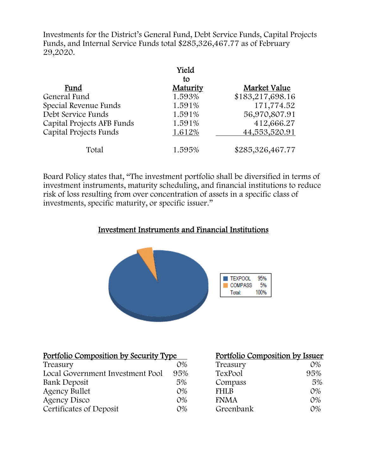Investments for the District's General Fund, Debt Service Funds, Capital Projects Funds, and Internal Service Funds total \$285,326,467.77 as of February 29,2020.

|                            | Yield          |                  |
|----------------------------|----------------|------------------|
| Fund                       | to<br>Maturity | Market Value     |
| General Fund               | 1.593%         | \$183,217,698.16 |
| Special Revenue Funds      | 1.591%         | 171,774.52       |
| Debt Service Funds         | 1.591%         | 56,970,807.91    |
| Capital Projects AFB Funds | 1.591%         | 412,666.27       |
| Capital Projects Funds     | 1.612%         | 44,553,520.91    |
| Total                      | 1.595%         | \$285,326,467.77 |

Board Policy states that, "The investment portfolio shall be diversified in terms of investment instruments, maturity scheduling, and financial institutions to reduce risk of loss resulting from over concentration of assets in a specific class of investments, specific maturity, or specific issuer."

## Investment Instruments and Financial Institutions



| Portfolio Composition by Security Type |       | Portfolio Composition by Issuer |       |
|----------------------------------------|-------|---------------------------------|-------|
| Treasury                               | $O\%$ | Treasury                        | $O\%$ |
| Local Government Investment Pool       | 95%   | TexPool                         | 95%   |
| Bank Deposit                           | 5%    | Compass                         | 5%    |
| <b>Agency Bullet</b>                   | $O\%$ | <b>FHLB</b>                     | $O\%$ |
| <b>Agency Disco</b>                    | $O\%$ | <b>FNMA</b>                     | $O\%$ |
| Certificates of Deposit                | $O\%$ | Greenbank                       | $O\%$ |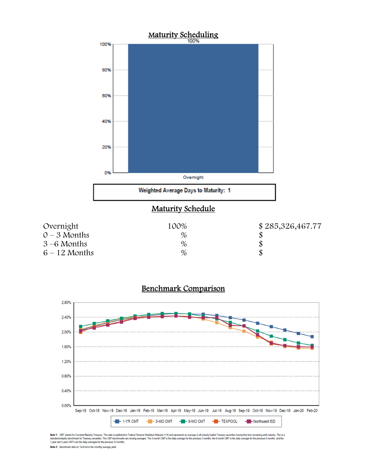



Note 1: CMT stands for Constant Maturity Treasury. This data is published in Federal Resenve Statistical Release H.15 and represents an average of all actively traded Treasury securities having that time remaining until ma Note 2: Benchmark data for TexPool is the monthly average yield.

## Benchmark Comparison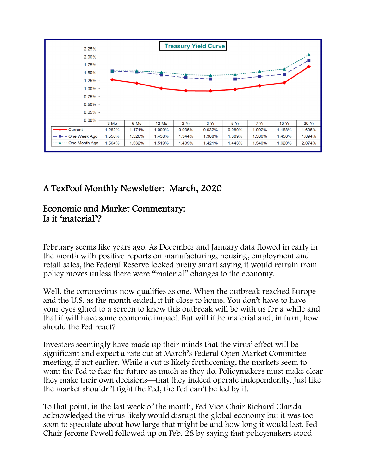

# A TexPool Monthly Newsletter: March, 2020

## Economic and Market Commentary: Is it 'material'?

February seems like years ago. As December and January data flowed in early in the month with positive reports on manufacturing, housing, employment and retail sales, the Federal Reserve looked pretty smart saying it would refrain from policy moves unless there were "material" changes to the economy.

Well, the coronavirus now qualifies as one. When the outbreak reached Europe and the U.S. as the month ended, it hit close to home. You don't have to have your eyes glued to a screen to know this outbreak will be with us for a while and that it will have some economic impact. But will it be material and, in turn, how should the Fed react?

Investors seemingly have made up their minds that the virus' effect will be significant and expect a rate cut at March's Federal Open Market Committee meeting, if not earlier. While a cut is likely forthcoming, the markets seem to want the Fed to fear the future as much as they do. Policymakers must make clear they make their own decisions—that they indeed operate independently. Just like the market shouldn't fight the Fed, the Fed can't be led by it.

To that point, in the last week of the month, Fed Vice Chair Richard Clarida acknowledged the virus likely would disrupt the global economy but it was too soon to speculate about how large that might be and how long it would last. Fed Chair Jerome Powell followed up on Feb. 28 by saying that policymakers stood